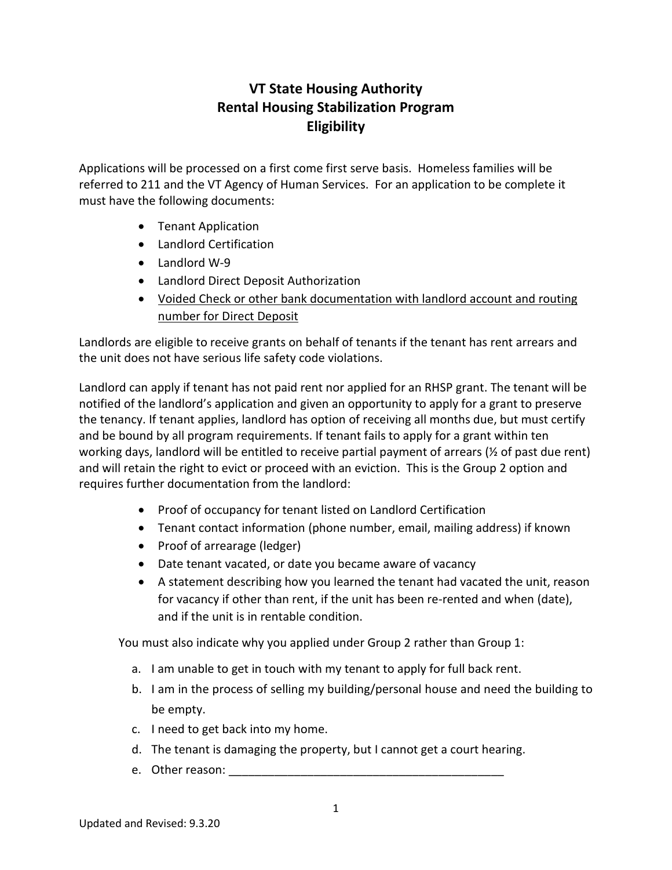## **VT State Housing Authority Rental Housing Stabilization Program Eligibility**

Applications will be processed on a first come first serve basis. Homeless families will be referred to 211 and the VT Agency of Human Services. For an application to be complete it must have the following documents:

- Tenant Application
- Landlord Certification
- Landlord W-9
- Landlord Direct Deposit Authorization
- Voided Check or other bank documentation with landlord account and routing number for Direct Deposit

Landlords are eligible to receive grants on behalf of tenants if the tenant has rent arrears and the unit does not have serious life safety code violations.

Landlord can apply if tenant has not paid rent nor applied for an RHSP grant. The tenant will be notified of the landlord's application and given an opportunity to apply for a grant to preserve the tenancy. If tenant applies, landlord has option of receiving all months due, but must certify and be bound by all program requirements. If tenant fails to apply for a grant within ten working days, landlord will be entitled to receive partial payment of arrears (½ of past due rent) and will retain the right to evict or proceed with an eviction. This is the Group 2 option and requires further documentation from the landlord:

- Proof of occupancy for tenant listed on Landlord Certification
- Tenant contact information (phone number, email, mailing address) if known
- Proof of arrearage (ledger)
- Date tenant vacated, or date you became aware of vacancy
- A statement describing how you learned the tenant had vacated the unit, reason for vacancy if other than rent, if the unit has been re-rented and when (date), and if the unit is in rentable condition.

You must also indicate why you applied under Group 2 rather than Group 1:

- a. I am unable to get in touch with my tenant to apply for full back rent.
- b. I am in the process of selling my building/personal house and need the building to be empty.
- c. I need to get back into my home.
- d. The tenant is damaging the property, but I cannot get a court hearing.
- e. Other reason: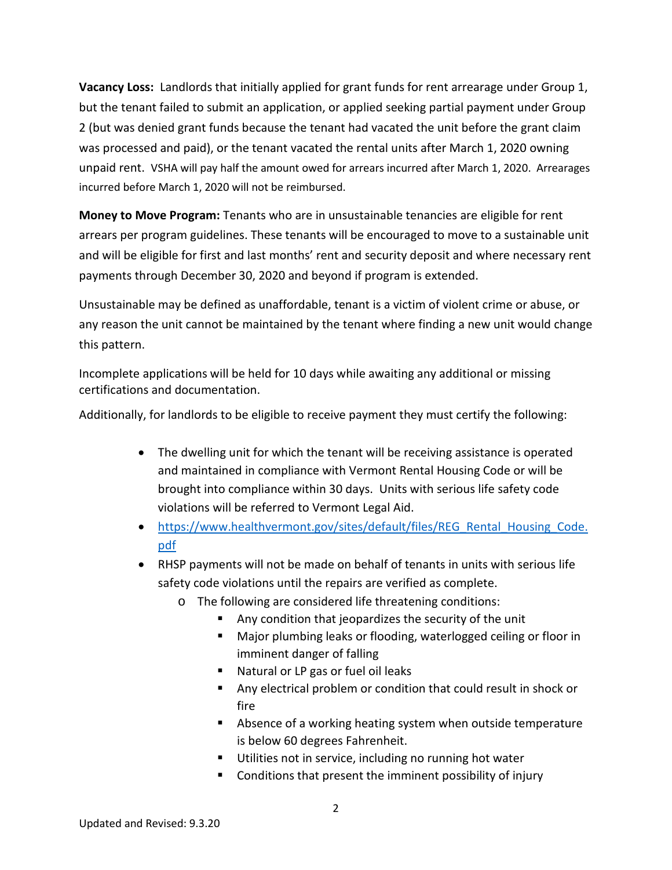**Vacancy Loss:** Landlords that initially applied for grant funds for rent arrearage under Group 1, but the tenant failed to submit an application, or applied seeking partial payment under Group 2 (but was denied grant funds because the tenant had vacated the unit before the grant claim was processed and paid), or the tenant vacated the rental units after March 1, 2020 owning unpaid rent. VSHA will pay half the amount owed for arrears incurred after March 1, 2020. Arrearages incurred before March 1, 2020 will not be reimbursed.

**Money to Move Program:** Tenants who are in unsustainable tenancies are eligible for rent arrears per program guidelines. These tenants will be encouraged to move to a sustainable unit and will be eligible for first and last months' rent and security deposit and where necessary rent payments through December 30, 2020 and beyond if program is extended.

Unsustainable may be defined as unaffordable, tenant is a victim of violent crime or abuse, or any reason the unit cannot be maintained by the tenant where finding a new unit would change this pattern.

Incomplete applications will be held for 10 days while awaiting any additional or missing certifications and documentation.

Additionally, for landlords to be eligible to receive payment they must certify the following:

- The dwelling unit for which the tenant will be receiving assistance is operated and maintained in compliance with Vermont Rental Housing Code or will be brought into compliance within 30 days. Units with serious life safety code violations will be referred to Vermont Legal Aid.
- [https://www.healthvermont.gov/sites/default/files/REG\\_Rental\\_Housing\\_Code.](https://www.healthvermont.gov/sites/default/files/REG_Rental_Housing_Code.pdf) [pdf](https://www.healthvermont.gov/sites/default/files/REG_Rental_Housing_Code.pdf)
- RHSP payments will not be made on behalf of tenants in units with serious life safety code violations until the repairs are verified as complete.
	- o The following are considered life threatening conditions:
		- Any condition that jeopardizes the security of the unit
		- Major plumbing leaks or flooding, waterlogged ceiling or floor in imminent danger of falling
		- Natural or LP gas or fuel oil leaks
		- Any electrical problem or condition that could result in shock or fire
		- Absence of a working heating system when outside temperature is below 60 degrees Fahrenheit.
		- **Utilities not in service, including no running hot water**
		- Conditions that present the imminent possibility of injury